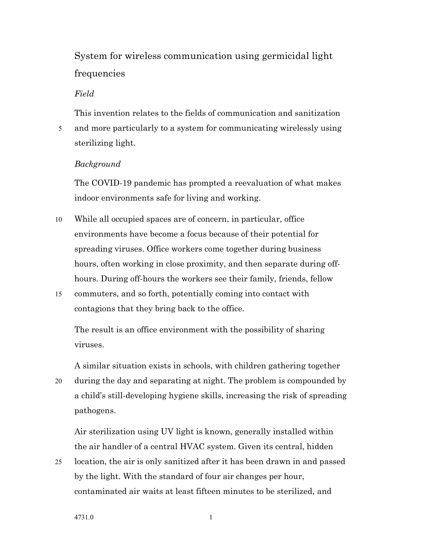System for wireless communication using germicidal light frequencies

### *Field*

This invention relates to the fields of communication and sanitization 5 and more particularly to a system for communicating wirelessly using sterilizing light.

#### *Background*

The COVID-19 pandemic has prompted a reevaluation of what makes indoor environments safe for living and working.

- 10 While all occupied spaces are of concern, in particular, office environments have become a focus because of their potential for spreading viruses. Office workers come together during business hours, often working in close proximity, and then separate during offhours. During off-hours the workers see their family, friends, fellow
- 15 commuters, and so forth, potentially coming into contact with contagions that they bring back to the office.

The result is an office environment with the possibility of sharing viruses.

A similar situation exists in schools, with children gathering together

20 during the day and separating at night. The problem is compounded by a child's still-developing hygiene skills, increasing the risk of spreading pathogens.

Air sterilization using UV light is known, generally installed within the air handler of a central HVAC system. Given its central, hidden

25 location, the air is only sanitized after it has been drawn in and passed by the light. With the standard of four air changes per hour, contaminated air waits at least fifteen minutes to be sterilized, and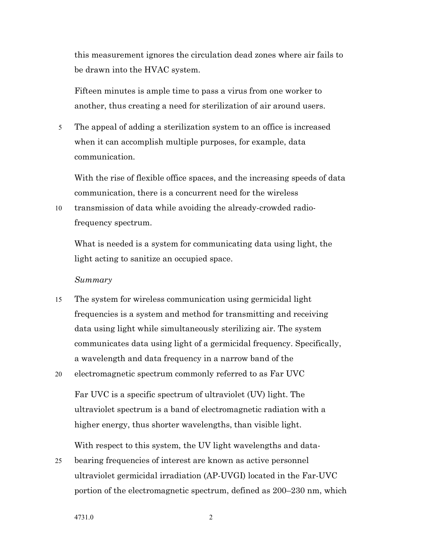this measurement ignores the circulation dead zones where air fails to be drawn into the HVAC system.

Fifteen minutes is ample time to pass a virus from one worker to another, thus creating a need for sterilization of air around users.

5 The appeal of adding a sterilization system to an office is increased when it can accomplish multiple purposes, for example, data communication.

With the rise of flexible office spaces, and the increasing speeds of data communication, there is a concurrent need for the wireless

10 transmission of data while avoiding the already-crowded radiofrequency spectrum.

What is needed is a system for communicating data using light, the light acting to sanitize an occupied space.

#### *Summary*

- 15 The system for wireless communication using germicidal light frequencies is a system and method for transmitting and receiving data using light while simultaneously sterilizing air. The system communicates data using light of a germicidal frequency. Specifically, a wavelength and data frequency in a narrow band of the
- 20 electromagnetic spectrum commonly referred to as Far UVC

Far UVC is a specific spectrum of ultraviolet (UV) light. The ultraviolet spectrum is a band of electromagnetic radiation with a higher energy, thus shorter wavelengths, than visible light.

With respect to this system, the UV light wavelengths and data-

25 bearing frequencies of interest are known as active personnel ultraviolet germicidal irradiation (AP-UVGI) located in the Far-UVC portion of the electromagnetic spectrum, defined as 200–230 nm, which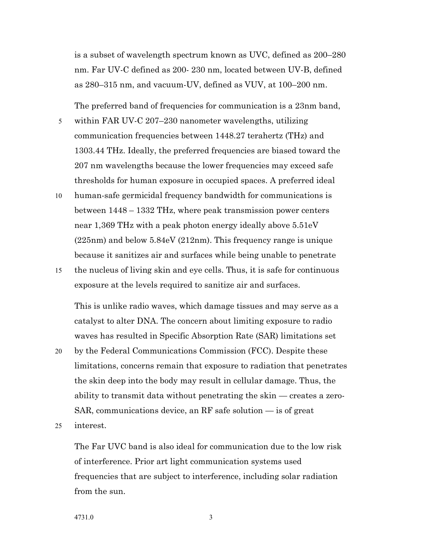is a subset of wavelength spectrum known as UVC, defined as 200–280 nm. Far UV-C defined as 200- 230 nm, located between UV-B, defined as 280–315 nm, and vacuum-UV, defined as VUV, at 100–200 nm.

The preferred band of frequencies for communication is a 23nm band,

- 5 within FAR UV-C 207–230 nanometer wavelengths, utilizing communication frequencies between 1448.27 terahertz (THz) and 1303.44 THz. Ideally, the preferred frequencies are biased toward the 207 nm wavelengths because the lower frequencies may exceed safe thresholds for human exposure in occupied spaces. A preferred ideal
- 10 human-safe germicidal frequency bandwidth for communications is between 1448 – 1332 THz, where peak transmission power centers near 1,369 THz with a peak photon energy ideally above 5.51eV (225nm) and below 5.84eV (212nm). This frequency range is unique because it sanitizes air and surfaces while being unable to penetrate
- 15 the nucleus of living skin and eye cells. Thus, it is safe for continuous exposure at the levels required to sanitize air and surfaces.

This is unlike radio waves, which damage tissues and may serve as a catalyst to alter DNA. The concern about limiting exposure to radio waves has resulted in Specific Absorption Rate (SAR) limitations set

20 by the Federal Communications Commission (FCC). Despite these limitations, concerns remain that exposure to radiation that penetrates the skin deep into the body may result in cellular damage. Thus, the ability to transmit data without penetrating the skin — creates a zero-SAR, communications device, an RF safe solution — is of great

25 interest.

The Far UVC band is also ideal for communication due to the low risk of interference. Prior art light communication systems used frequencies that are subject to interference, including solar radiation from the sun.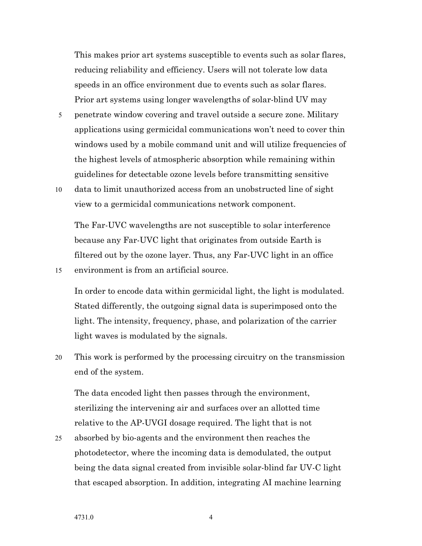This makes prior art systems susceptible to events such as solar flares, reducing reliability and efficiency. Users will not tolerate low data speeds in an office environment due to events such as solar flares. Prior art systems using longer wavelengths of solar-blind UV may

- 5 penetrate window covering and travel outside a secure zone. Military applications using germicidal communications won't need to cover thin windows used by a mobile command unit and will utilize frequencies of the highest levels of atmospheric absorption while remaining within guidelines for detectable ozone levels before transmitting sensitive
- 10 data to limit unauthorized access from an unobstructed line of sight view to a germicidal communications network component.

The Far-UVC wavelengths are not susceptible to solar interference because any Far-UVC light that originates from outside Earth is filtered out by the ozone layer. Thus, any Far-UVC light in an office 15 environment is from an artificial source.

In order to encode data within germicidal light, the light is modulated. Stated differently, the outgoing signal data is superimposed onto the light. The intensity, frequency, phase, and polarization of the carrier light waves is modulated by the signals.

20 This work is performed by the processing circuitry on the transmission end of the system.

The data encoded light then passes through the environment, sterilizing the intervening air and surfaces over an allotted time relative to the AP-UVGI dosage required. The light that is not

25 absorbed by bio-agents and the environment then reaches the photodetector, where the incoming data is demodulated, the output being the data signal created from invisible solar-blind far UV-C light that escaped absorption. In addition, integrating AI machine learning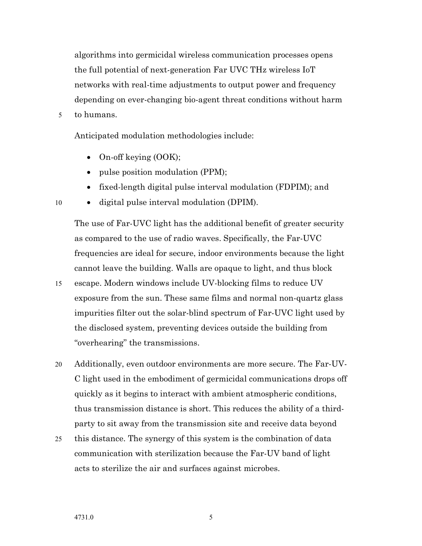algorithms into germicidal wireless communication processes opens the full potential of next-generation Far UVC THz wireless IoT networks with real-time adjustments to output power and frequency depending on ever-changing bio-agent threat conditions without harm

5 to humans.

Anticipated modulation methodologies include:

- On-off keying (OOK);
- pulse position modulation (PPM);
- fixed-length digital pulse interval modulation (FDPIM); and
- 10 digital pulse interval modulation (DPIM).

The use of Far-UVC light has the additional benefit of greater security as compared to the use of radio waves. Specifically, the Far-UVC frequencies are ideal for secure, indoor environments because the light cannot leave the building. Walls are opaque to light, and thus block

15 escape. Modern windows include UV-blocking films to reduce UV exposure from the sun. These same films and normal non-quartz glass impurities filter out the solar-blind spectrum of Far-UVC light used by the disclosed system, preventing devices outside the building from "overhearing" the transmissions.

20 Additionally, even outdoor environments are more secure. The Far-UV-C light used in the embodiment of germicidal communications drops off quickly as it begins to interact with ambient atmospheric conditions, thus transmission distance is short. This reduces the ability of a thirdparty to sit away from the transmission site and receive data beyond

25 this distance. The synergy of this system is the combination of data communication with sterilization because the Far-UV band of light acts to sterilize the air and surfaces against microbes.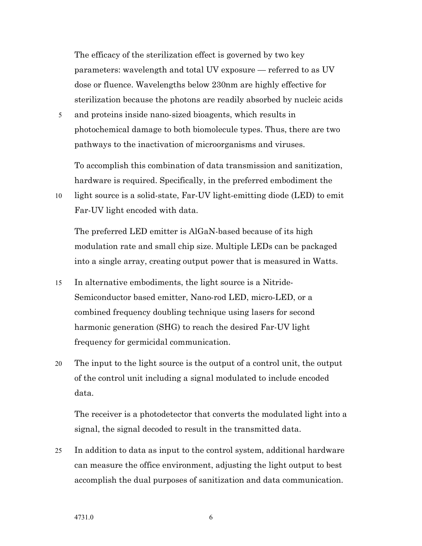The efficacy of the sterilization effect is governed by two key parameters: wavelength and total UV exposure — referred to as UV dose or fluence. Wavelengths below 230nm are highly effective for sterilization because the photons are readily absorbed by nucleic acids

5 and proteins inside nano-sized bioagents, which results in photochemical damage to both biomolecule types. Thus, there are two pathways to the inactivation of microorganisms and viruses.

To accomplish this combination of data transmission and sanitization, hardware is required. Specifically, in the preferred embodiment the

10 light source is a solid-state, Far-UV light-emitting diode (LED) to emit Far-UV light encoded with data.

The preferred LED emitter is AlGaN-based because of its high modulation rate and small chip size. Multiple LEDs can be packaged into a single array, creating output power that is measured in Watts.

- 15 In alternative embodiments, the light source is a Nitride-Semiconductor based emitter, Nano-rod LED, micro-LED, or a combined frequency doubling technique using lasers for second harmonic generation (SHG) to reach the desired Far-UV light frequency for germicidal communication.
- 20 The input to the light source is the output of a control unit, the output of the control unit including a signal modulated to include encoded data.

The receiver is a photodetector that converts the modulated light into a signal, the signal decoded to result in the transmitted data.

25 In addition to data as input to the control system, additional hardware can measure the office environment, adjusting the light output to best accomplish the dual purposes of sanitization and data communication.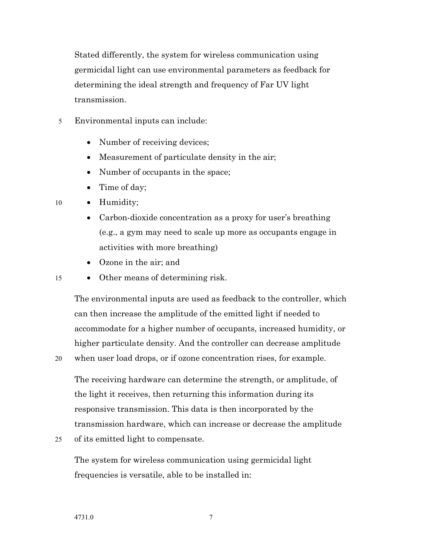Stated differently, the system for wireless communication using germicidal light can use environmental parameters as feedback for determining the ideal strength and frequency of Far UV light transmission.

- 5 Environmental inputs can include:
	- Number of receiving devices;
	- Measurement of particulate density in the air;
	- Number of occupants in the space;
	- Time of day;
- 10 Humidity;
	- Carbon-dioxide concentration as a proxy for user's breathing (e.g., a gym may need to scale up more as occupants engage in activities with more breathing)
	- Ozone in the air; and
- 15 Other means of determining risk.

The environmental inputs are used as feedback to the controller, which can then increase the amplitude of the emitted light if needed to accommodate for a higher number of occupants, increased humidity, or higher particulate density. And the controller can decrease amplitude

20 when user load drops, or if ozone concentration rises, for example.

The receiving hardware can determine the strength, or amplitude, of the light it receives, then returning this information during its responsive transmission. This data is then incorporated by the transmission hardware, which can increase or decrease the amplitude

25 of its emitted light to compensate.

The system for wireless communication using germicidal light frequencies is versatile, able to be installed in: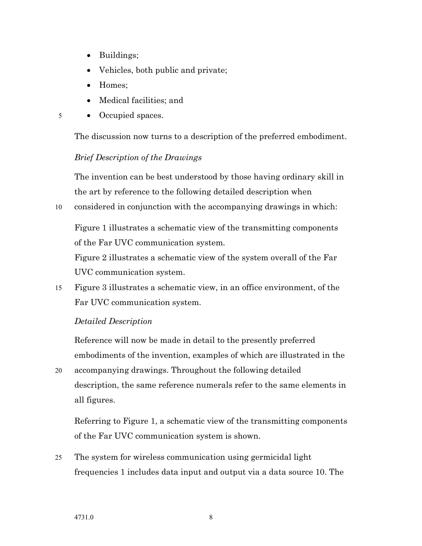- Buildings;
- Vehicles, both public and private;
- Homes:
- Medical facilities; and
- 5 Occupied spaces.

The discussion now turns to a description of the preferred embodiment.

# *Brief Description of the Drawings*

The invention can be best understood by those having ordinary skill in the art by reference to the following detailed description when

10 considered in conjunction with the accompanying drawings in which:

Figure 1 illustrates a schematic view of the transmitting components of the Far UVC communication system.

Figure 2 illustrates a schematic view of the system overall of the Far UVC communication system.

15 Figure 3 illustrates a schematic view, in an office environment, of the Far UVC communication system.

## *Detailed Description*

Reference will now be made in detail to the presently preferred embodiments of the invention, examples of which are illustrated in the

20 accompanying drawings. Throughout the following detailed description, the same reference numerals refer to the same elements in all figures.

Referring to Figure 1, a schematic view of the transmitting components of the Far UVC communication system is shown.

25 The system for wireless communication using germicidal light frequencies 1 includes data input and output via a data source 10. The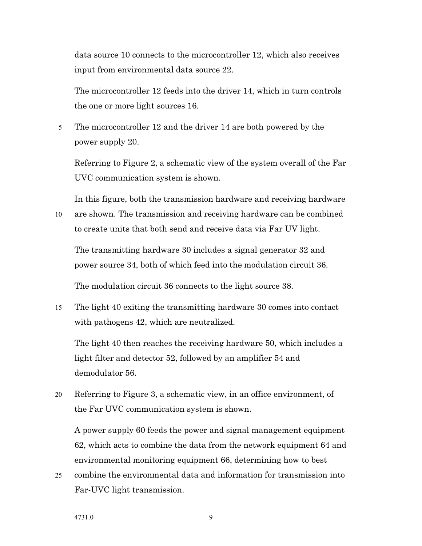data source 10 connects to the microcontroller 12, which also receives input from environmental data source 22.

The microcontroller 12 feeds into the driver 14, which in turn controls the one or more light sources 16.

5 The microcontroller 12 and the driver 14 are both powered by the power supply 20.

Referring to Figure 2, a schematic view of the system overall of the Far UVC communication system is shown.

In this figure, both the transmission hardware and receiving hardware 10 are shown. The transmission and receiving hardware can be combined to create units that both send and receive data via Far UV light.

The transmitting hardware 30 includes a signal generator 32 and power source 34, both of which feed into the modulation circuit 36.

The modulation circuit 36 connects to the light source 38.

15 The light 40 exiting the transmitting hardware 30 comes into contact with pathogens 42, which are neutralized.

The light 40 then reaches the receiving hardware 50, which includes a light filter and detector 52, followed by an amplifier 54 and demodulator 56.

20 Referring to Figure 3, a schematic view, in an office environment, of the Far UVC communication system is shown.

A power supply 60 feeds the power and signal management equipment 62, which acts to combine the data from the network equipment 64 and environmental monitoring equipment 66, determining how to best

25 combine the environmental data and information for transmission into Far-UVC light transmission.

4731.0 9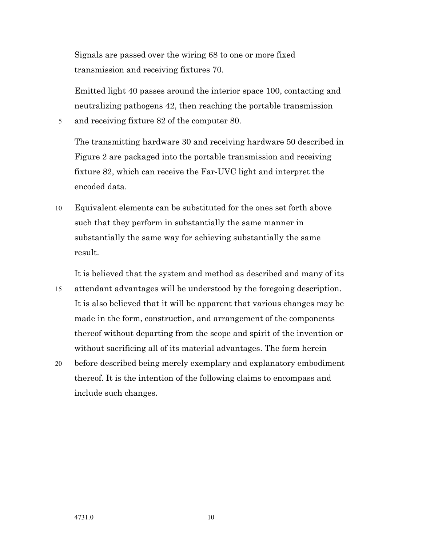Signals are passed over the wiring 68 to one or more fixed transmission and receiving fixtures 70.

Emitted light 40 passes around the interior space 100, contacting and neutralizing pathogens 42, then reaching the portable transmission

5 and receiving fixture 82 of the computer 80.

The transmitting hardware 30 and receiving hardware 50 described in Figure 2 are packaged into the portable transmission and receiving fixture 82, which can receive the Far-UVC light and interpret the encoded data.

10 Equivalent elements can be substituted for the ones set forth above such that they perform in substantially the same manner in substantially the same way for achieving substantially the same result.

It is believed that the system and method as described and many of its 15 attendant advantages will be understood by the foregoing description. It is also believed that it will be apparent that various changes may be made in the form, construction, and arrangement of the components thereof without departing from the scope and spirit of the invention or without sacrificing all of its material advantages. The form herein

20 before described being merely exemplary and explanatory embodiment thereof. It is the intention of the following claims to encompass and include such changes.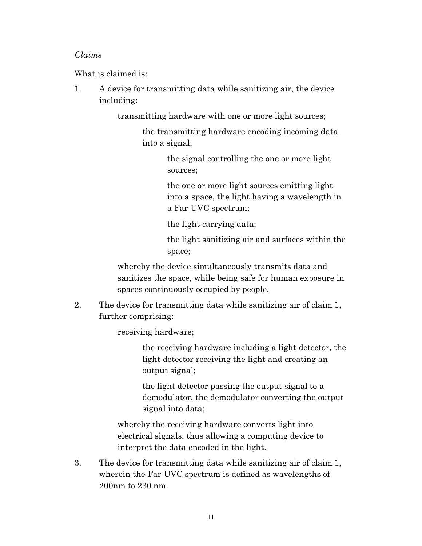## *Claims*

What is claimed is:

1. A device for transmitting data while sanitizing air, the device including:

transmitting hardware with one or more light sources;

the transmitting hardware encoding incoming data into a signal;

> the signal controlling the one or more light sources;

the one or more light sources emitting light into a space, the light having a wavelength in a Far-UVC spectrum;

the light carrying data;

the light sanitizing air and surfaces within the space;

whereby the device simultaneously transmits data and sanitizes the space, while being safe for human exposure in spaces continuously occupied by people.

2. The device for transmitting data while sanitizing air of claim 1, further comprising:

receiving hardware;

the receiving hardware including a light detector, the light detector receiving the light and creating an output signal;

the light detector passing the output signal to a demodulator, the demodulator converting the output signal into data;

whereby the receiving hardware converts light into electrical signals, thus allowing a computing device to interpret the data encoded in the light.

3. The device for transmitting data while sanitizing air of claim 1, wherein the Far-UVC spectrum is defined as wavelengths of 200nm to 230 nm.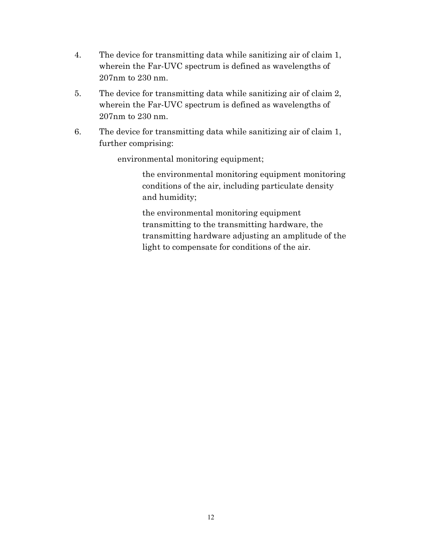- 4. The device for transmitting data while sanitizing air of claim 1, wherein the Far-UVC spectrum is defined as wavelengths of 207nm to 230 nm.
- 5. The device for transmitting data while sanitizing air of claim 2, wherein the Far-UVC spectrum is defined as wavelengths of 207nm to 230 nm.
- 6. The device for transmitting data while sanitizing air of claim 1, further comprising:

environmental monitoring equipment;

the environmental monitoring equipment monitoring conditions of the air, including particulate density and humidity;

the environmental monitoring equipment transmitting to the transmitting hardware, the transmitting hardware adjusting an amplitude of the light to compensate for conditions of the air.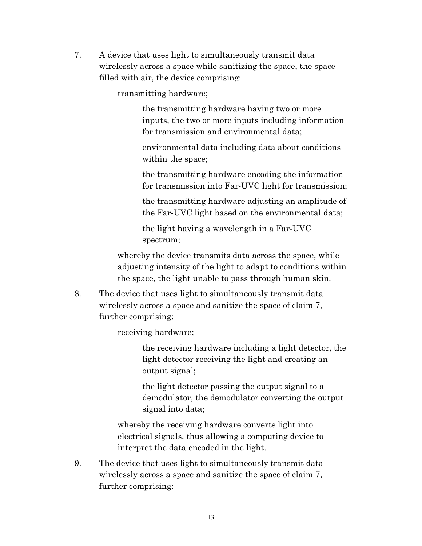7. A device that uses light to simultaneously transmit data wirelessly across a space while sanitizing the space, the space filled with air, the device comprising:

transmitting hardware;

the transmitting hardware having two or more inputs, the two or more inputs including information for transmission and environmental data;

environmental data including data about conditions within the space;

the transmitting hardware encoding the information for transmission into Far-UVC light for transmission;

the transmitting hardware adjusting an amplitude of the Far-UVC light based on the environmental data;

the light having a wavelength in a Far-UVC spectrum;

whereby the device transmits data across the space, while adjusting intensity of the light to adapt to conditions within the space, the light unable to pass through human skin.

8. The device that uses light to simultaneously transmit data wirelessly across a space and sanitize the space of claim 7, further comprising:

receiving hardware;

the receiving hardware including a light detector, the light detector receiving the light and creating an output signal;

the light detector passing the output signal to a demodulator, the demodulator converting the output signal into data;

whereby the receiving hardware converts light into electrical signals, thus allowing a computing device to interpret the data encoded in the light.

9. The device that uses light to simultaneously transmit data wirelessly across a space and sanitize the space of claim 7, further comprising: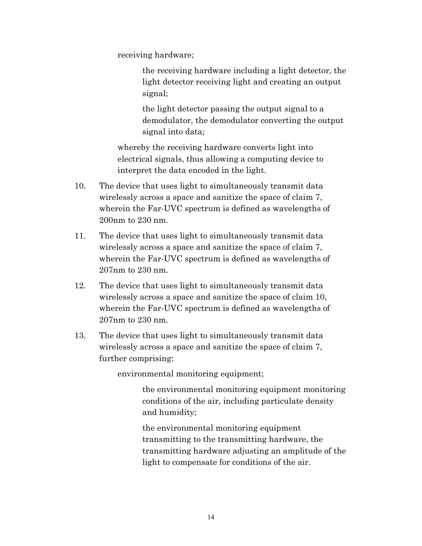receiving hardware;

the receiving hardware including a light detector, the light detector receiving light and creating an output signal;

the light detector passing the output signal to a demodulator, the demodulator converting the output signal into data;

whereby the receiving hardware converts light into electrical signals, thus allowing a computing device to interpret the data encoded in the light.

- 10. The device that uses light to simultaneously transmit data wirelessly across a space and sanitize the space of claim 7, wherein the Far-UVC spectrum is defined as wavelengths of 200nm to 230 nm.
- 11. The device that uses light to simultaneously transmit data wirelessly across a space and sanitize the space of claim 7, wherein the Far-UVC spectrum is defined as wavelengths of 207nm to 230 nm.
- 12. The device that uses light to simultaneously transmit data wirelessly across a space and sanitize the space of claim 10, wherein the Far-UVC spectrum is defined as wavelengths of 207nm to 230 nm.
- 13. The device that uses light to simultaneously transmit data wirelessly across a space and sanitize the space of claim 7, further comprising:

environmental monitoring equipment;

the environmental monitoring equipment monitoring conditions of the air, including particulate density and humidity;

the environmental monitoring equipment transmitting to the transmitting hardware, the transmitting hardware adjusting an amplitude of the light to compensate for conditions of the air.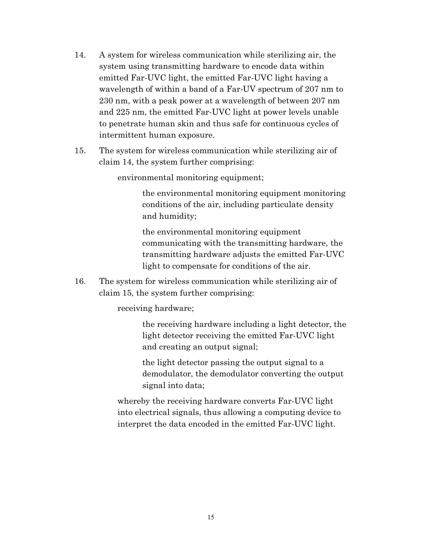- 14. A system for wireless communication while sterilizing air, the system using transmitting hardware to encode data within emitted Far-UVC light, the emitted Far-UVC light having a wavelength of within a band of a Far-UV spectrum of 207 nm to 230 nm, with a peak power at a wavelength of between 207 nm and 225 nm, the emitted Far-UVC light at power levels unable to penetrate human skin and thus safe for continuous cycles of intermittent human exposure.
- 15. The system for wireless communication while sterilizing air of claim 14, the system further comprising:

environmental monitoring equipment;

the environmental monitoring equipment monitoring conditions of the air, including particulate density and humidity;

the environmental monitoring equipment communicating with the transmitting hardware, the transmitting hardware adjusts the emitted Far-UVC light to compensate for conditions of the air.

16. The system for wireless communication while sterilizing air of claim 15, the system further comprising:

receiving hardware;

the receiving hardware including a light detector, the light detector receiving the emitted Far-UVC light and creating an output signal;

the light detector passing the output signal to a demodulator, the demodulator converting the output signal into data;

whereby the receiving hardware converts Far-UVC light into electrical signals, thus allowing a computing device to interpret the data encoded in the emitted Far-UVC light.